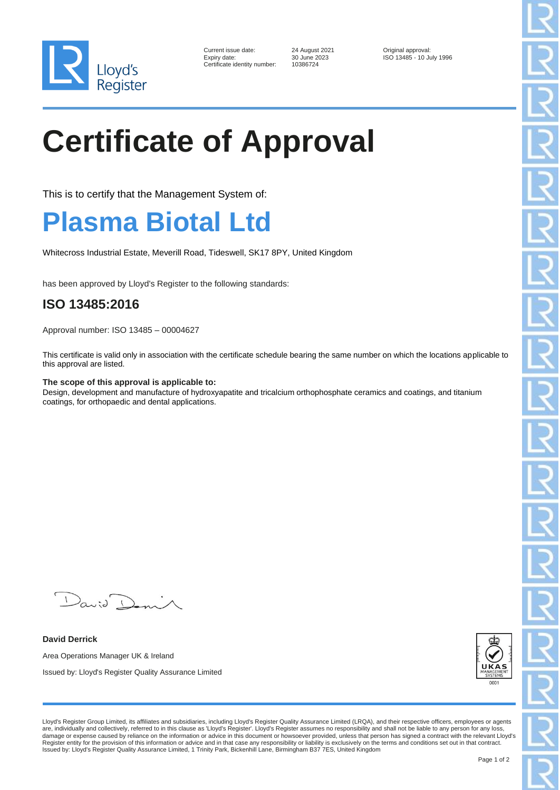

| Current issue date:        |
|----------------------------|
| Expiry date:               |
| Certificate identity numbe |

er: 10386724

24 August 2021 **Current Contact 2021** Original approval:<br>30 June 2023 **ISO 13485 - 10 June 2023** ISO 13485 - 10 July 1996

# **Certificate of Approval**

This is to certify that the Management System of:

### **Plasma Biotal Ltd**

Whitecross Industrial Estate, Meverill Road, Tideswell, SK17 8PY, United Kingdom

has been approved by Lloyd's Register to the following standards:

### **ISO 13485:2016**

Approval number: ISO 13485 – 00004627

This certificate is valid only in association with the certificate schedule bearing the same number on which the locations applicable to this approval are listed.

#### **The scope of this approval is applicable to:**

Design, development and manufacture of hydroxyapatite and tricalcium orthophosphate ceramics and coatings, and titanium coatings, for orthopaedic and dental applications.

 $\mathcal{L}$  $\lambda$ anid  $\lambda$ 

**David Derrick** Area Operations Manager UK & Ireland Issued by: Lloyd's Register Quality Assurance Limited



Lloyd's Register Group Limited, its affiliates and subsidiaries, including Lloyd's Register Quality Assurance Limited (LRQA), and their respective officers, employees or agents are, individually and collectively, referred to in this clause as 'Lloyd's Register'. Lloyd's Register assumes no responsibility and shall not be liable to any person for any loss, damage or expense caused by reliance on the information or advice in this document or howsoever provided, unless that person has signed a contract with the relevant Lloyd's<br>Register entity for the provision of this informa Issued by: Lloyd's Register Quality Assurance Limited, 1 Trinity Park, Bickenhill Lane, Birmingham B37 7ES, United Kingdom